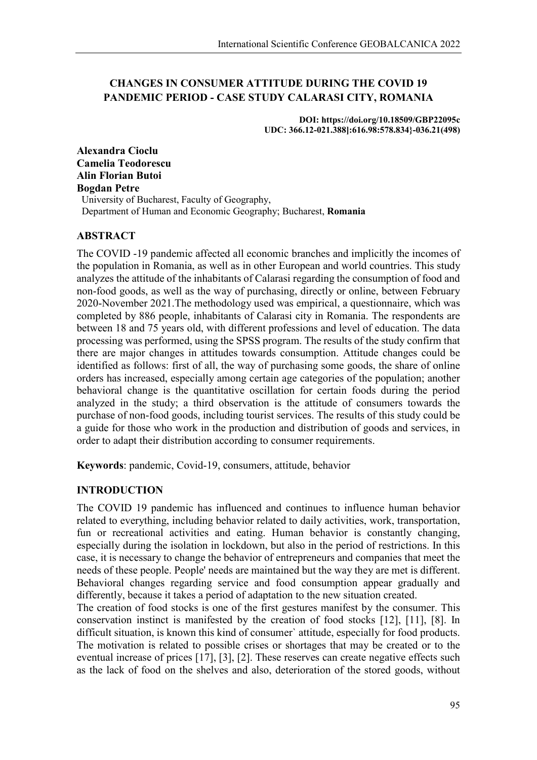# **CHANGES IN CONSUMER ATTITUDE DURING THE COVID 19 PANDEMIC PERIOD - CASE STUDY CALARASI CITY, ROMANIA**

**DOI: https://doi.org/10.18509/GBP22095c UDC: 366.12-021.388]:616.98:578.834}-036.21(498)**

**Alexandra Cioclu Camelia Teodorescu Alin Florian Butoi Bogdan Petre** University of Bucharest, Faculty of Geography, Department of Human and Economic Geography; Bucharest, **Romania**

## **ABSTRACT**

The COVID -19 pandemic affected all economic branches and implicitly the incomes of the population in Romania, as well as in other European and world countries. This study analyzes the attitude of the inhabitants of Calarasi regarding the consumption of food and non-food goods, as well as the way of purchasing, directly or online, between February 2020-November 2021.The methodology used was empirical, a questionnaire, which was completed by 886 people, inhabitants of Calarasi city in Romania. The respondents are between 18 and 75 years old, with different professions and level of education. The data processing was performed, using the SPSS program. The results of the study confirm that there are major changes in attitudes towards consumption. Attitude changes could be identified as follows: first of all, the way of purchasing some goods, the share of online orders has increased, especially among certain age categories of the population; another behavioral change is the quantitative oscillation for certain foods during the period analyzed in the study; a third observation is the attitude of consumers towards the purchase of non-food goods, including tourist services. The results of this study could be a guide for those who work in the production and distribution of goods and services, in order to adapt their distribution according to consumer requirements.

**Keywords**: pandemic, Covid-19, consumers, attitude, behavior

## **INTRODUCTION**

The COVID 19 pandemic has influenced and continues to influence human behavior related to everything, including behavior related to daily activities, work, transportation, fun or recreational activities and eating. Human behavior is constantly changing, especially during the isolation in lockdown, but also in the period of restrictions. In this case, it is necessary to change the behavior of entrepreneurs and companies that meet the needs of these people. People' needs are maintained but the way they are met is different. Behavioral changes regarding service and food consumption appear gradually and differently, because it takes a period of adaptation to the new situation created.

The creation of food stocks is one of the first gestures manifest by the consumer. This conservation instinct is manifested by the creation of food stocks [12], [11], [8]. In difficult situation, is known this kind of consumer` attitude, especially for food products. The motivation is related to possible crises or shortages that may be created or to the eventual increase of prices [17], [3], [2]. These reserves can create negative effects such as the lack of food on the shelves and also, deterioration of the stored goods, without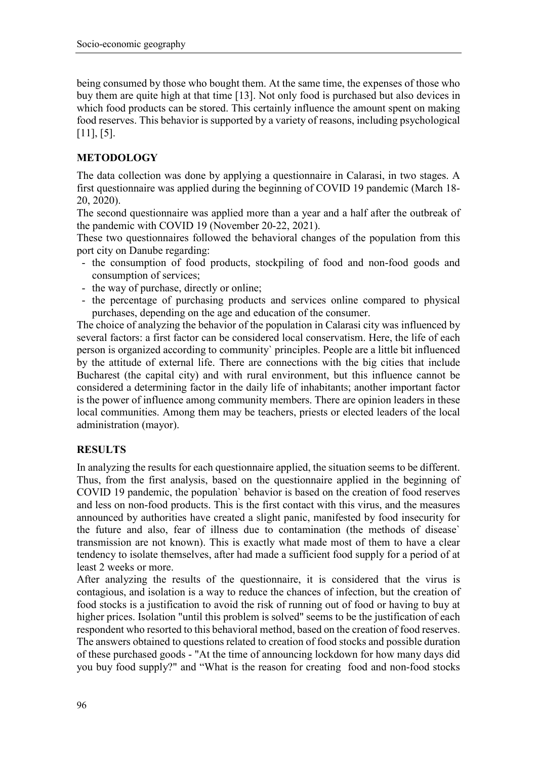being consumed by those who bought them. At the same time, the expenses of those who buy them are quite high at that time [13]. Not only food is purchased but also devices in which food products can be stored. This certainly influence the amount spent on making food reserves. This behavior is supported by a variety of reasons, including psychological  $[11]$ ,  $[5]$ .

# **METODOLOGY**

The data collection was done by applying a questionnaire in Calarasi, in two stages. A first questionnaire was applied during the beginning of COVID 19 pandemic (March 18- 20, 2020).

The second questionnaire was applied more than a year and a half after the outbreak of the pandemic with COVID 19 (November 20-22, 2021).

These two questionnaires followed the behavioral changes of the population from this port city on Danube regarding:

- the consumption of food products, stockpiling of food and non-food goods and consumption of services;
- the way of purchase, directly or online;
- the percentage of purchasing products and services online compared to physical purchases, depending on the age and education of the consumer.

The choice of analyzing the behavior of the population in Calarasi city was influenced by several factors: a first factor can be considered local conservatism. Here, the life of each person is organized according to community` principles. People are a little bit influenced by the attitude of external life. There are connections with the big cities that include Bucharest (the capital city) and with rural environment, but this influence cannot be considered a determining factor in the daily life of inhabitants; another important factor is the power of influence among community members. There are opinion leaders in these local communities. Among them may be teachers, priests or elected leaders of the local administration (mayor).

#### **RESULTS**

In analyzing the results for each questionnaire applied, the situation seems to be different. Thus, from the first analysis, based on the questionnaire applied in the beginning of COVID 19 pandemic, the population` behavior is based on the creation of food reserves and less on non-food products. This is the first contact with this virus, and the measures announced by authorities have created a slight panic, manifested by food insecurity for the future and also, fear of illness due to contamination (the methods of disease` transmission are not known). This is exactly what made most of them to have a clear tendency to isolate themselves, after had made a sufficient food supply for a period of at least 2 weeks or more.

After analyzing the results of the questionnaire, it is considered that the virus is contagious, and isolation is a way to reduce the chances of infection, but the creation of food stocks is a justification to avoid the risk of running out of food or having to buy at higher prices. Isolation "until this problem is solved" seems to be the justification of each respondent who resorted to this behavioral method, based on the creation of food reserves. The answers obtained to questions related to creation of food stocks and possible duration of these purchased goods - "At the time of announcing lockdown for how many days did you buy food supply?" and "What is the reason for creating food and non-food stocks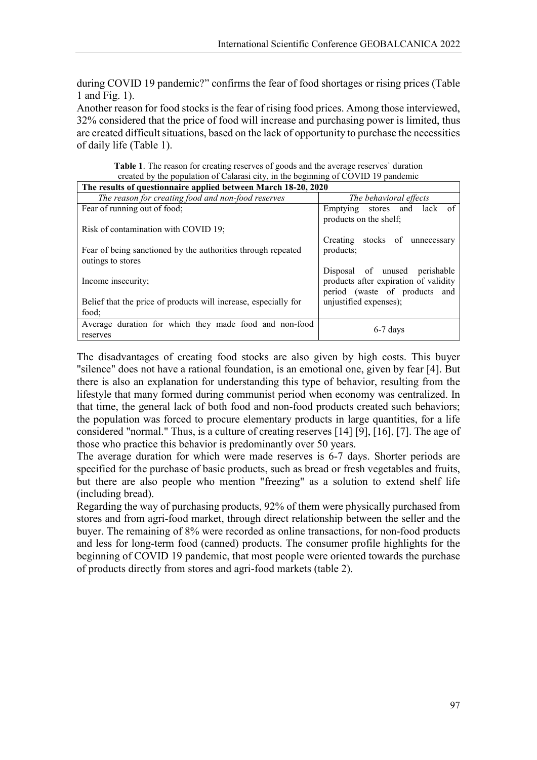during COVID 19 pandemic?" confirms the fear of food shortages or rising prices (Table 1 and Fig. 1).

Another reason for food stocks is the fear of rising food prices. Among those interviewed, 32% considered that the price of food will increase and purchasing power is limited, thus are created difficult situations, based on the lack of opportunity to purchase the necessities of daily life (Table 1).

**Table 1**. The reason for creating reserves of goods and the average reserves` duration created by the population of Calarasi city, in the beginning of COVID 19 pandemic

| The results of questionnaire applied between March 18-20, 2020  |                                                                        |  |  |
|-----------------------------------------------------------------|------------------------------------------------------------------------|--|--|
| The reason for creating food and non-food reserves              | The behavioral effects                                                 |  |  |
| Fear of running out of food;                                    | Emptying stores and lack of<br>products on the shelf;                  |  |  |
| Risk of contamination with COVID 19;                            |                                                                        |  |  |
|                                                                 | Creating stocks of unnecessary                                         |  |  |
| Fear of being sanctioned by the authorities through repeated    | products;                                                              |  |  |
| outings to stores                                               |                                                                        |  |  |
|                                                                 | Disposal of unused perishable                                          |  |  |
| Income insecurity;                                              | products after expiration of validity<br>period (waste of products and |  |  |
| Belief that the price of products will increase, especially for | unjustified expenses);                                                 |  |  |
| food:                                                           |                                                                        |  |  |
| Average duration for which they made food and non-food          |                                                                        |  |  |
| reserves                                                        | $6-7$ days                                                             |  |  |

The disadvantages of creating food stocks are also given by high costs. This buyer "silence" does not have a rational foundation, is an emotional one, given by fear [4]. But there is also an explanation for understanding this type of behavior, resulting from the lifestyle that many formed during communist period when economy was centralized. In that time, the general lack of both food and non-food products created such behaviors; the population was forced to procure elementary products in large quantities, for a life considered "normal." Thus, is a culture of creating reserves [14] [9], [16], [7]. The age of those who practice this behavior is predominantly over 50 years.

The average duration for which were made reserves is 6-7 days. Shorter periods are specified for the purchase of basic products, such as bread or fresh vegetables and fruits, but there are also people who mention "freezing" as a solution to extend shelf life (including bread).

Regarding the way of purchasing products, 92% of them were physically purchased from stores and from agri-food market, through direct relationship between the seller and the buyer. The remaining of 8% were recorded as online transactions, for non-food products and less for long-term food (canned) products. The consumer profile highlights for the beginning of COVID 19 pandemic, that most people were oriented towards the purchase of products directly from stores and agri-food markets (table 2).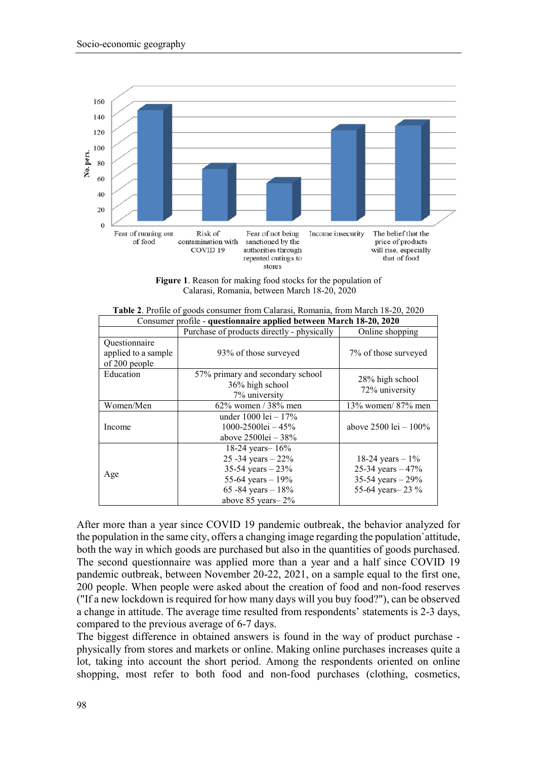

**Figure 1**. Reason for making food stocks for the population of Calarasi, Romania, between March 18-20, 2020

| Consumer profile - questionnaire applied between March 18-20, 2020 |                                                                                                                                             |                                                                                      |  |
|--------------------------------------------------------------------|---------------------------------------------------------------------------------------------------------------------------------------------|--------------------------------------------------------------------------------------|--|
|                                                                    | Purchase of products directly - physically                                                                                                  | Online shopping                                                                      |  |
| Questionnaire<br>applied to a sample<br>of 200 people              | 93% of those surveyed                                                                                                                       | 7% of those surveyed                                                                 |  |
| Education                                                          | 57% primary and secondary school<br>36% high school<br>7% university                                                                        | 28% high school<br>72% university                                                    |  |
| Women/Men                                                          | $62\%$ women / 38% men                                                                                                                      | $13\%$ women/ $87\%$ men                                                             |  |
| Income                                                             | under $1000 \text{ lei} - 17\%$<br>1000-2500lei - $45\%$<br>above $25001e$ i – $38%$                                                        | above $2500 \text{ lei} - 100\%$                                                     |  |
| Age                                                                | 18-24 years $- 16\%$<br>25 - 34 years $-22%$<br>35-54 years $-23%$<br>55-64 years $-19%$<br>65 - 84 years $-18%$<br>above $85$ years $-2\%$ | 18-24 years $-1\%$<br>25-34 years $-47%$<br>35-54 years $-29%$<br>55-64 years - 23 % |  |

**Table 2**. Profile of goods consumer from Calarasi, Romania, from March 18-20, 2020

After more than a year since COVID 19 pandemic outbreak, the behavior analyzed for the population in the same city, offers a changing image regarding the population`attitude, both the way in which goods are purchased but also in the quantities of goods purchased. The second questionnaire was applied more than a year and a half since COVID 19 pandemic outbreak, between November 20-22, 2021, on a sample equal to the first one, 200 people. When people were asked about the creation of food and non-food reserves ("If a new lockdown is required for how many days will you buy food?"), can be observed a change in attitude. The average time resulted from respondents' statements is 2-3 days, compared to the previous average of 6-7 days.

The biggest difference in obtained answers is found in the way of product purchase physically from stores and markets or online. Making online purchases increases quite a lot, taking into account the short period. Among the respondents oriented on online shopping, most refer to both food and non-food purchases (clothing, cosmetics,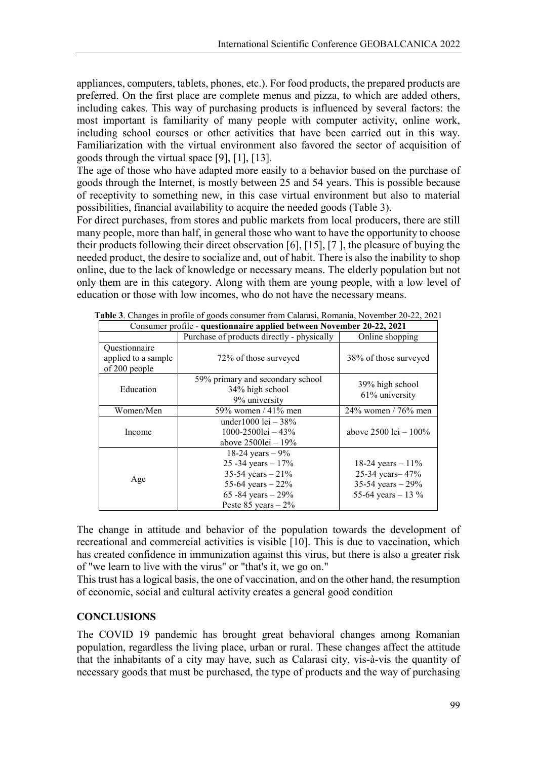appliances, computers, tablets, phones, etc.). For food products, the prepared products are preferred. On the first place are complete menus and pizza, to which are added others, including cakes. This way of purchasing products is influenced by several factors: the most important is familiarity of many people with computer activity, online work, including school courses or other activities that have been carried out in this way. Familiarization with the virtual environment also favored the sector of acquisition of goods through the virtual space [9], [1], [13].

The age of those who have adapted more easily to a behavior based on the purchase of goods through the Internet, is mostly between 25 and 54 years. This is possible because of receptivity to something new, in this case virtual environment but also to material possibilities, financial availability to acquire the needed goods (Table 3).

For direct purchases, from stores and public markets from local producers, there are still many people, more than half, in general those who want to have the opportunity to choose their products following their direct observation [6], [15], [7 ], the pleasure of buying the needed product, the desire to socialize and, out of habit. There is also the inability to shop online, due to the lack of knowledge or necessary means. The elderly population but not only them are in this category. Along with them are young people, with a low level of education or those with low incomes, who do not have the necessary means.

| Consumer profile - questionnaire applied between November 20-22, 2021 |                                                                                                                                           |                                                                                       |  |
|-----------------------------------------------------------------------|-------------------------------------------------------------------------------------------------------------------------------------------|---------------------------------------------------------------------------------------|--|
|                                                                       | Purchase of products directly - physically                                                                                                | Online shopping                                                                       |  |
| Questionnaire<br>applied to a sample<br>of 200 people                 | 72% of those surveyed                                                                                                                     | 38% of those surveyed                                                                 |  |
| Education                                                             | 59% primary and secondary school<br>34% high school<br>9% university                                                                      | 39% high school<br>61% university                                                     |  |
| Women/Men                                                             | 59% women / 41% men                                                                                                                       | $24\%$ women / 76% men                                                                |  |
| Income                                                                | under 1000 lei $-38%$<br>1000-2500lei - 43%<br>above $25001ei - 19%$                                                                      | above $2500 \text{ lei} - 100\%$                                                      |  |
| Age                                                                   | 18-24 years $-9\%$<br>25 - 34 years $-17%$<br>35-54 years $-21%$<br>55-64 years $-22%$<br>65 - 84 years $-29%$<br>Peste $85$ years $-2\%$ | 18-24 years $-11\%$<br>25-34 years - 47%<br>35-54 years $-29%$<br>55-64 years $-13\%$ |  |

**Table 3**. Changes in profile of goods consumer from Calarasi, Romania, November 20-22, 2021

The change in attitude and behavior of the population towards the development of recreational and commercial activities is visible [10]. This is due to vaccination, which has created confidence in immunization against this virus, but there is also a greater risk of "we learn to live with the virus" or "that's it, we go on."

This trust has a logical basis, the one of vaccination, and on the other hand, the resumption of economic, social and cultural activity creates a general good condition

## **CONCLUSIONS**

The COVID 19 pandemic has brought great behavioral changes among Romanian population, regardless the living place, urban or rural. These changes affect the attitude that the inhabitants of a city may have, such as Calarasi city, vis-à-vis the quantity of necessary goods that must be purchased, the type of products and the way of purchasing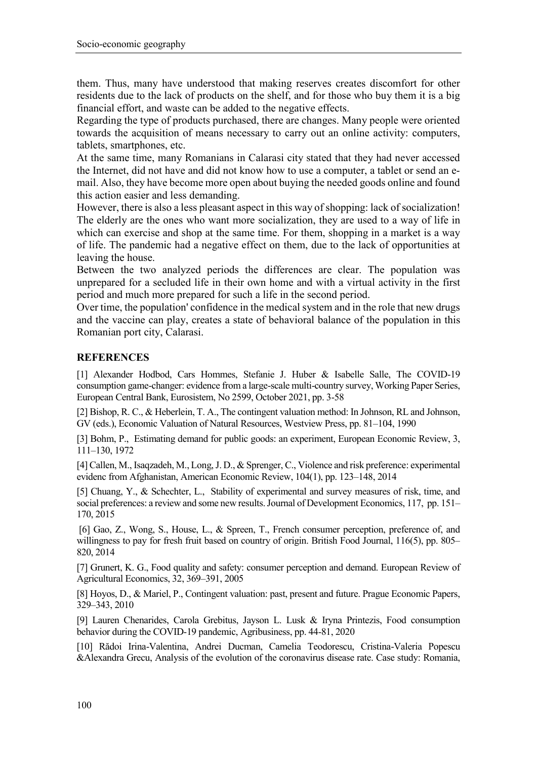them. Thus, many have understood that making reserves creates discomfort for other residents due to the lack of products on the shelf, and for those who buy them it is a big financial effort, and waste can be added to the negative effects.

Regarding the type of products purchased, there are changes. Many people were oriented towards the acquisition of means necessary to carry out an online activity: computers, tablets, smartphones, etc.

At the same time, many Romanians in Calarasi city stated that they had never accessed the Internet, did not have and did not know how to use a computer, a tablet or send an email. Also, they have become more open about buying the needed goods online and found this action easier and less demanding.

However, there is also a less pleasant aspect in this way of shopping: lack of socialization! The elderly are the ones who want more socialization, they are used to a way of life in which can exercise and shop at the same time. For them, shopping in a market is a way of life. The pandemic had a negative effect on them, due to the lack of opportunities at leaving the house.

Between the two analyzed periods the differences are clear. The population was unprepared for a secluded life in their own home and with a virtual activity in the first period and much more prepared for such a life in the second period.

Over time, the population' confidence in the medical system and in the role that new drugs and the vaccine can play, creates a state of behavioral balance of the population in this Romanian port city, Calarasi.

## **REFERENCES**

[1] Alexander Hodbod, Cars Hommes, Stefanie J. Huber & Isabelle Salle, The COVID-19 consumption game-changer: evidence from a large-scale multi-country survey, Working Paper Series, European Central Bank, Eurosistem, No 2599, October 2021, pp. 3-58

[2] Bishop, R. C., & Heberlein, T. A., The contingent valuation method: In Johnson, RL and Johnson, GV (eds.), Economic Valuation of Natural Resources, Westview Press, pp. 81–104, 1990

[3] Bohm, P., Estimating demand for public goods: an experiment, European Economic Review, 3, 111–130, 1972

[4] Callen, M., Isaqzadeh, M., Long, J. D., & Sprenger, C., Violence and risk preference: experimental evidenc from Afghanistan, American Economic Review, 104(1), pp. 123–148, 2014

[5] Chuang, Y., & Schechter, L., Stability of experimental and survey measures of risk, time, and social preferences: a review and some new results. Journal of Development Economics, 117, pp. 151– 170, 2015

[6] Gao, Z., Wong, S., House, L., & Spreen, T., French consumer perception, preference of, and willingness to pay for fresh fruit based on country of origin. British Food Journal, 116(5), pp. 805– 820, 2014

[7] Grunert, K. G., Food quality and safety: consumer perception and demand. European Review of Agricultural Economics, 32, 369–391, 2005

[8] Hoyos, D., & Mariel, P., Contingent valuation: past, present and future. Prague Economic Papers, 329–343, 2010

[9] Lauren Chenarides, Carola Grebitus, Jayson L. Lusk & Iryna Printezis, Food consumption behavior during the COVID‐19 pandemic, Agribusiness, pp. 44-81, 2020

[10] Rădoi Irina-Valentina, Andrei Ducman, Camelia Teodorescu, Cristina-Valeria Popescu &Alexandra Grecu, Analysis of the evolution of the coronavirus disease rate. Case study: Romania,